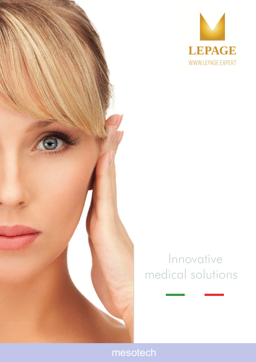



# Innovative medical solutions

## mesotech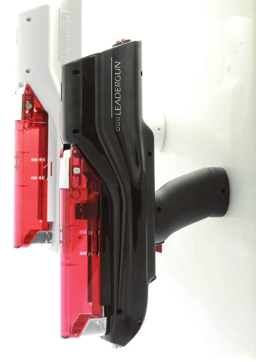